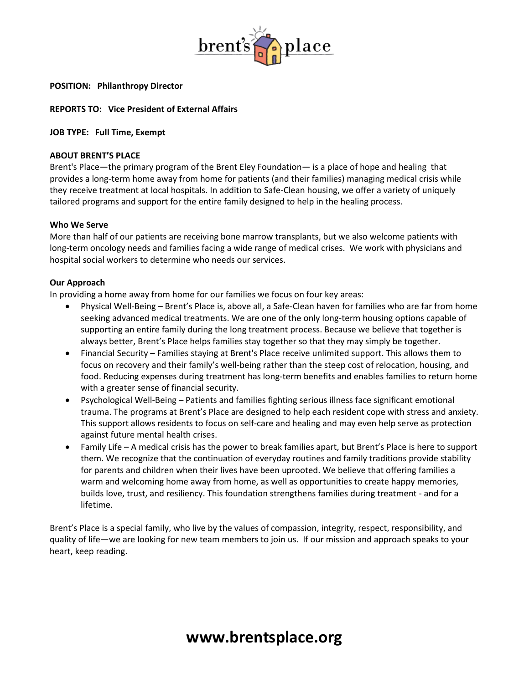

## **POSITION: Philanthropy Director**

## **REPORTS TO: Vice President of External Affairs**

#### **JOB TYPE: Full Time, Exempt**

#### **ABOUT BRENT'S PLACE**

Brent's Place—the primary program of the Brent Eley Foundation— is a place of hope and healing that provides a long-term home away from home for patients (and their families) managing medical crisis while they receive treatment at local hospitals. In addition to Safe-Clean housing, we offer a variety of uniquely tailored programs and support for the entire family designed to help in the healing process.

#### **Who We Serve**

More than half of our patients are receiving bone marrow transplants, but we also welcome patients with long-term oncology needs and families facing a wide range of medical crises. We work with physicians and hospital social workers to determine who needs our services.

#### **Our Approach**

In providing a home away from home for our families we focus on four key areas:

- Physical Well-Being Brent's Place is, above all, a Safe-Clean haven for families who are far from home seeking advanced medical treatments. We are one of the only long-term housing options capable of supporting an entire family during the long treatment process. Because we believe that together is always better, Brent's Place helps families stay together so that they may simply be together.
- Financial Security Families staying at Brent's Place receive unlimited support. This allows them to focus on recovery and their family's well-being rather than the steep cost of relocation, housing, and food. Reducing expenses during treatment has long-term benefits and enables families to return home with a greater sense of financial security.
- Psychological Well-Being Patients and families fighting serious illness face significant emotional trauma. The programs at Brent's Place are designed to help each resident cope with stress and anxiety. This support allows residents to focus on self-care and healing and may even help serve as protection against future mental health crises.
- Family Life A medical crisis has the power to break families apart, but Brent's Place is here to support them. We recognize that the continuation of everyday routines and family traditions provide stability for parents and children when their lives have been uprooted. We believe that offering families a warm and welcoming home away from home, as well as opportunities to create happy memories, builds love, trust, and resiliency. This foundation strengthens families during treatment - and for a lifetime.

Brent's Place is a special family, who live by the values of compassion, integrity, respect, responsibility, and quality of life—we are looking for new team members to join us. If our mission and approach speaks to your heart, keep reading.

# **www.brentsplace.org**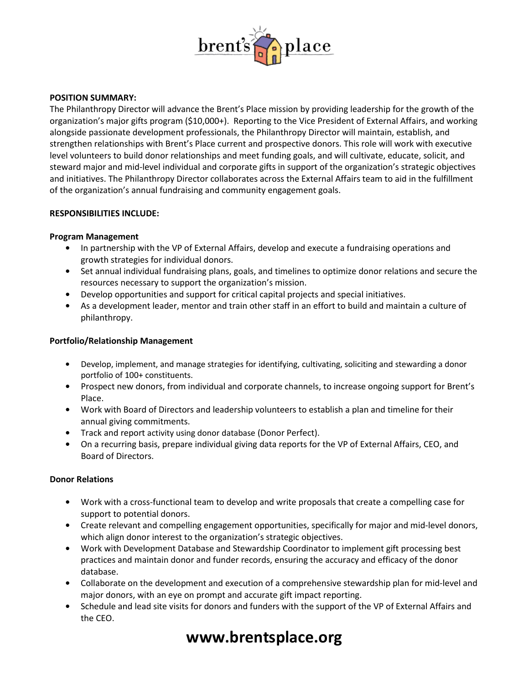

# **POSITION SUMMARY:**

The Philanthropy Director will advance the Brent's Place mission by providing leadership for the growth of the organization's major gifts program (\$10,000+). Reporting to the Vice President of External Affairs, and working alongside passionate development professionals, the Philanthropy Director will maintain, establish, and strengthen relationships with Brent's Place current and prospective donors. This role will work with executive level volunteers to build donor relationships and meet funding goals, and will cultivate, educate, solicit, and steward major and mid-level individual and corporate gifts in support of the organization's strategic objectives and initiatives. The Philanthropy Director collaborates across the External Affairs team to aid in the fulfillment of the organization's annual fundraising and community engagement goals.

#### **RESPONSIBILITIES INCLUDE:**

#### **Program Management**

- **•** In partnership with the VP of External Affairs, develop and execute a fundraising operations and growth strategies for individual donors.
- **•** Set annual individual fundraising plans, goals, and timelines to optimize donor relations and secure the resources necessary to support the organization's mission.
- **•** Develop opportunities and support for critical capital projects and special initiatives.
- **•** As a development leader, mentor and train other staff in an effort to build and maintain a culture of philanthropy.

## **Portfolio/Relationship Management**

- **•** Develop, implement, and manage strategies for identifying, cultivating, soliciting and stewarding a donor portfolio of 100+ constituents.
- **•** Prospect new donors, from individual and corporate channels, to increase ongoing support for Brent's Place.
- **•** Work with Board of Directors and leadership volunteers to establish a plan and timeline for their annual giving commitments.
- **•** Track and report activity using donor database (Donor Perfect).
- **•** On a recurring basis, prepare individual giving data reports for the VP of External Affairs, CEO, and Board of Directors.

# **Donor Relations**

- **•** Work with a cross-functional team to develop and write proposals that create a compelling case for support to potential donors.
- **•** Create relevant and compelling engagement opportunities, specifically for major and mid-level donors, which align donor interest to the organization's strategic objectives.
- **•** Work with Development Database and Stewardship Coordinator to implement gift processing best practices and maintain donor and funder records, ensuring the accuracy and efficacy of the donor database.
- **•** Collaborate on the development and execution of a comprehensive stewardship plan for mid-level and major donors, with an eye on prompt and accurate gift impact reporting.
- **•** Schedule and lead site visits for donors and funders with the support of the VP of External Affairs and the CEO.

# **www.brentsplace.org**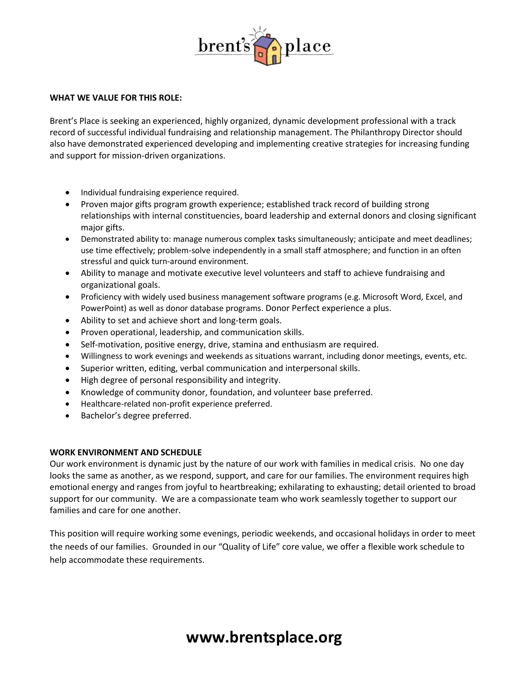

#### **WHAT WE VALUE FOR THIS ROLE:**

Brent's Place is seeking an experienced, highly organized, dynamic development professional with a track record of successful individual fundraising and relationship management. The Philanthropy Director should also have demonstrated experienced developing and implementing creative strategies for increasing funding and support for mission-driven organizations.

- Individual fundraising experience required.
- Proven major gifts program growth experience; established track record of building strong relationships with internal constituencies, board leadership and external donors and closing significant major gifts.
- Demonstrated ability to: manage numerous complex tasks simultaneously; anticipate and meet deadlines; use time effectively; problem-solve independently in a small staff atmosphere; and function in an often stressful and quick turn-around environment.
- Ability to manage and motivate executive level volunteers and staff to achieve fundraising and organizational goals.
- Proficiency with widely used business management software programs (e.g. Microsoft Word, Excel, and PowerPoint) as well as donor database programs. Donor Perfect experience a plus.
- Ability to set and achieve short and long-term goals.
- Proven operational, leadership, and communication skills.
- Self-motivation, positive energy, drive, stamina and enthusiasm are required.
- Willingness to work evenings and weekends as situations warrant, including donor meetings, events, etc.
- Superior written, editing, verbal communication and interpersonal skills.
- High degree of personal responsibility and integrity.
- Knowledge of community donor, foundation, and volunteer base preferred.
- Healthcare-related non-profit experience preferred.
- Bachelor's degree preferred.

# **WORK ENVIRONMENT AND SCHEDULE**

Our work environment is dynamic just by the nature of our work with families in medical crisis. No one day looks the same as another, as we respond, support, and care for our families. The environment requires high emotional energy and ranges from joyful to heartbreaking; exhilarating to exhausting; detail oriented to broad support for our community. We are a compassionate team who work seamlessly together to support our families and care for one another.

This position will require working some evenings, periodic weekends, and occasional holidays in order to meet the needs of our families. Grounded in our "Quality of Life" core value, we offer a flexible work schedule to help accommodate these requirements.